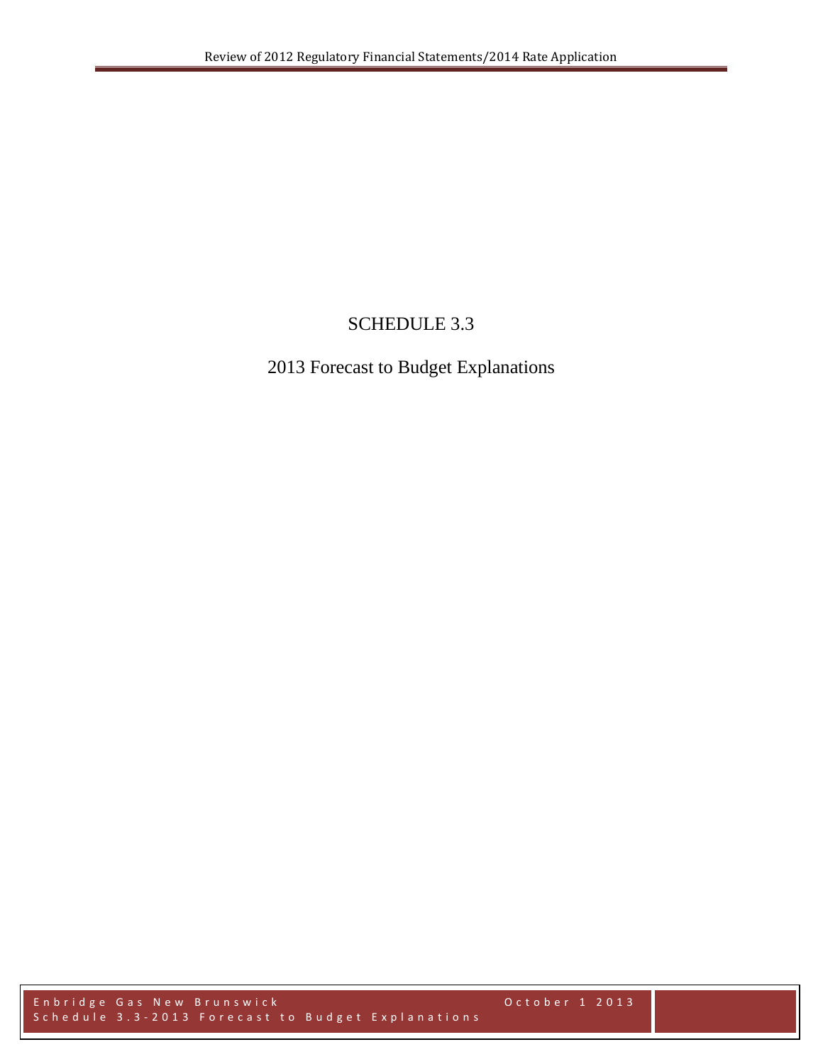# SCHEDULE 3.3

# 2013 Forecast to Budget Explanations

Enbridge Gas New Brunswick October 1 2013 Schedule 3.3 - 2013 Forecast to Budget Explanations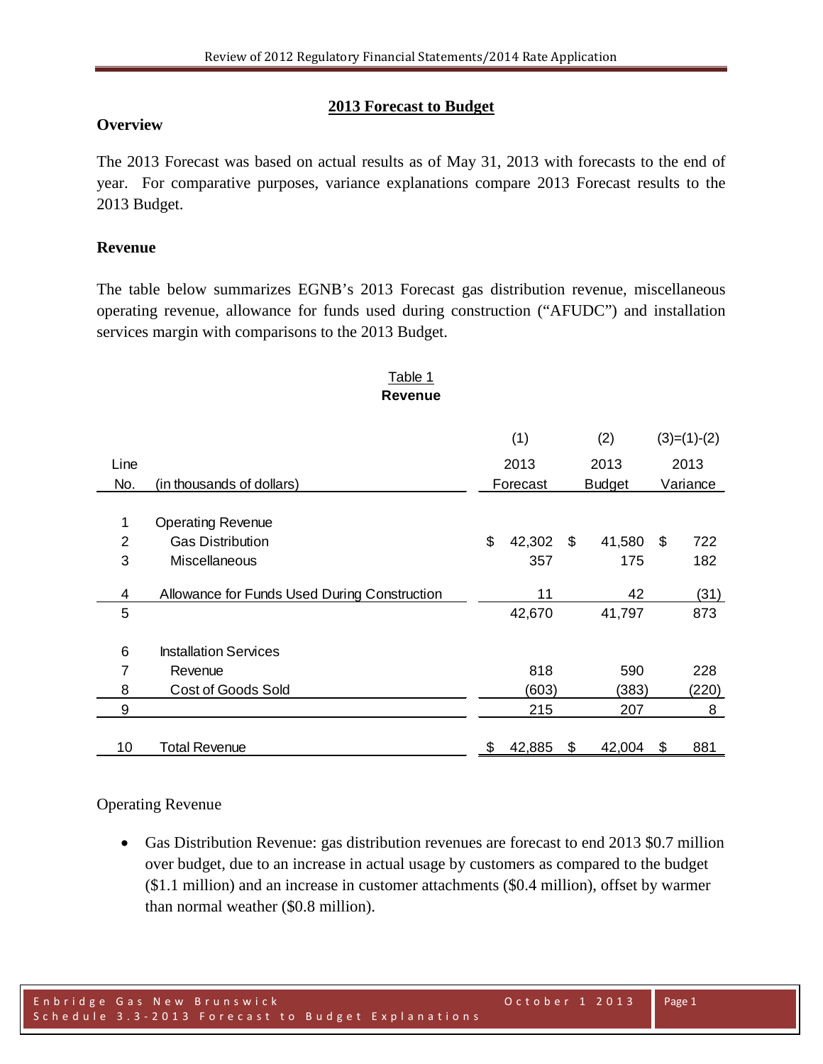## **2013 Forecast to Budget**

### **Overview**

The 2013 Forecast was based on actual results as of May 31, 2013 with forecasts to the end of year. For comparative purposes, variance explanations compare 2013 Forecast results to the 2013 Budget.

### **Revenue**

The table below summarizes EGNB's 2013 Forecast gas distribution revenue, miscellaneous operating revenue, allowance for funds used during construction ("AFUDC") and installation services margin with comparisons to the 2013 Budget.

#### Table 1 **Revenue**

|                |                                              | (1)          |    | (2)           |      | $(3)=(1)-(2)$ |
|----------------|----------------------------------------------|--------------|----|---------------|------|---------------|
| Line           |                                              | 2013<br>2013 |    |               | 2013 |               |
| No.            | (in thousands of dollars)                    | Forecast     |    | <b>Budget</b> |      | Variance      |
|                |                                              |              |    |               |      |               |
| 1              | <b>Operating Revenue</b>                     |              |    |               |      |               |
| $\overline{2}$ | <b>Gas Distribution</b>                      | \$<br>42,302 | \$ | 41,580        | \$   | 722           |
| 3              | Miscellaneous                                | 357          |    | 175           |      | 182           |
| 4              | Allowance for Funds Used During Construction | 11           |    | 42            |      | (31)          |
|                |                                              |              |    |               |      |               |
| 5              |                                              | 42,670       |    | 41,797        |      | 873           |
| 6              | <b>Installation Services</b>                 |              |    |               |      |               |
| 7              | Revenue                                      | 818          |    | 590           |      | 228           |
|                |                                              |              |    |               |      |               |
| 8              | Cost of Goods Sold                           | (603)        |    | (383)         |      | (220)         |
| 9              |                                              | 215          |    | 207           |      | 8             |
|                |                                              |              |    |               |      |               |
| 10             | Total Revenue                                | \$<br>42,885 | \$ | 42,004        | \$   | 881           |

#### Operating Revenue

• Gas Distribution Revenue: gas distribution revenues are forecast to end 2013 \$0.7 million over budget, due to an increase in actual usage by customers as compared to the budget (\$1.1 million) and an increase in customer attachments (\$0.4 million), offset by warmer than normal weather (\$0.8 million).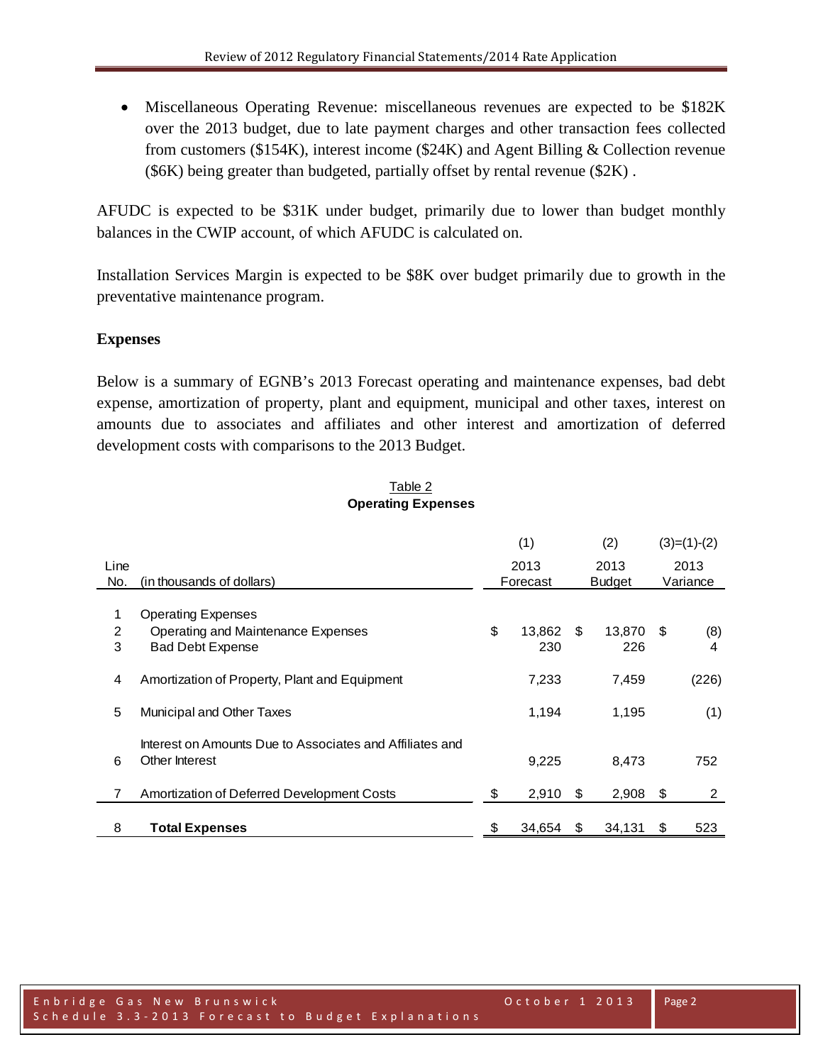• Miscellaneous Operating Revenue: miscellaneous revenues are expected to be \$182K over the 2013 budget, due to late payment charges and other transaction fees collected from customers (\$154K), interest income (\$24K) and Agent Billing & Collection revenue (\$6K) being greater than budgeted, partially offset by rental revenue (\$2K) .

AFUDC is expected to be \$31K under budget, primarily due to lower than budget monthly balances in the CWIP account, of which AFUDC is calculated on.

Installation Services Margin is expected to be \$8K over budget primarily due to growth in the preventative maintenance program.

## **Expenses**

Below is a summary of EGNB's 2013 Forecast operating and maintenance expenses, bad debt expense, amortization of property, plant and equipment, municipal and other taxes, interest on amounts due to associates and affiliates and other interest and amortization of deferred development costs with comparisons to the 2013 Budget.

#### Table 2 **Operating Expenses**

|      |                                                          | (1)<br>(2) |          | $(3)=(1)-(2)$ |               |      |          |
|------|----------------------------------------------------------|------------|----------|---------------|---------------|------|----------|
| Line |                                                          | 2013       |          | 2013          |               | 2013 |          |
| No.  | (in thousands of dollars)                                |            | Forecast |               | <b>Budget</b> |      | Variance |
|      |                                                          |            |          |               |               |      |          |
| 1    | <b>Operating Expenses</b>                                |            |          |               |               |      |          |
| 2    | Operating and Maintenance Expenses                       | \$         | 13,862   | \$.           | 13,870        | \$   | (8)      |
| 3    | <b>Bad Debt Expense</b>                                  |            | 230      |               | 226           |      | 4        |
|      |                                                          |            |          |               |               |      |          |
| 4    | Amortization of Property, Plant and Equipment            |            | 7,233    |               | 7,459         |      | (226)    |
|      |                                                          |            |          |               |               |      |          |
| 5    | Municipal and Other Taxes                                |            | 1,194    |               | 1,195         |      | (1)      |
|      |                                                          |            |          |               |               |      |          |
|      | Interest on Amounts Due to Associates and Affiliates and |            |          |               |               |      |          |
| 6    | Other Interest                                           |            | 9,225    |               | 8,473         |      | 752      |
|      |                                                          |            |          |               |               |      |          |
| 7    | Amortization of Deferred Development Costs               | \$         | 2,910    | \$            | 2,908         | S    | 2        |
|      |                                                          |            |          |               |               |      |          |
| 8    | <b>Total Expenses</b>                                    | \$         | 34.654   | S             | 34.131        | S    | 523      |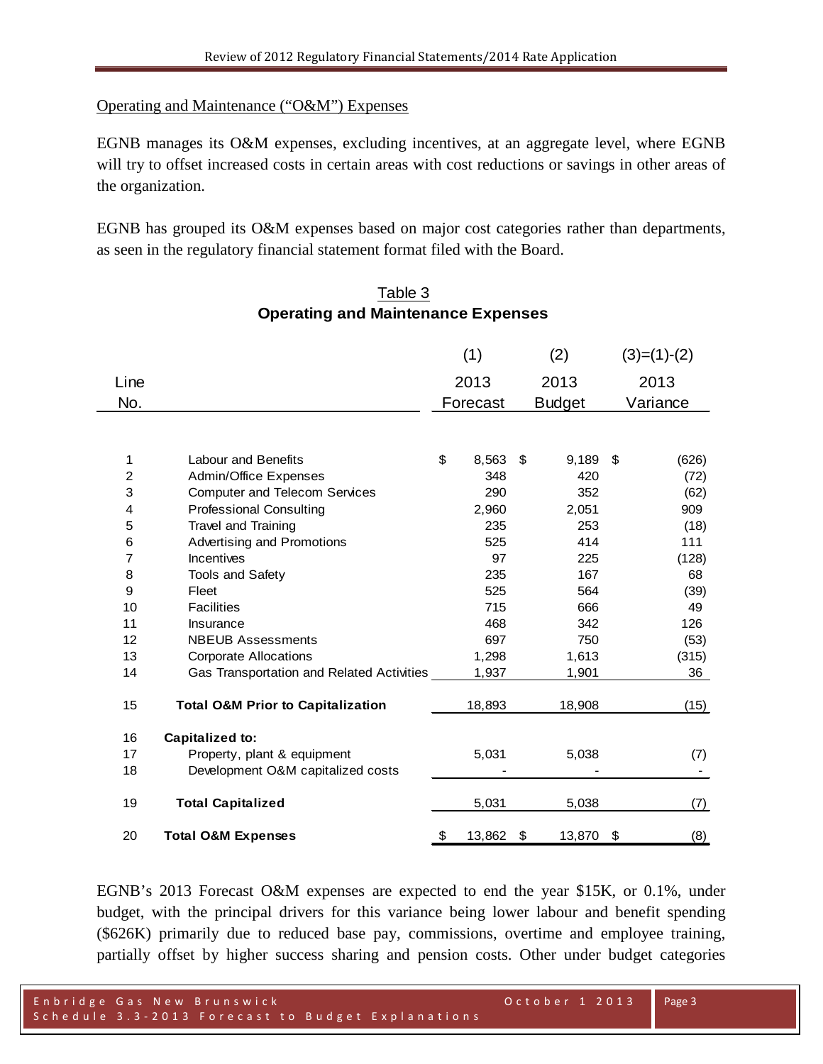### Operating and Maintenance ("O&M") Expenses

EGNB manages its O&M expenses, excluding incentives, at an aggregate level, where EGNB will try to offset increased costs in certain areas with cost reductions or savings in other areas of the organization.

EGNB has grouped its O&M expenses based on major cost categories rather than departments, as seen in the regulatory financial statement format filed with the Board.

|                |                                              | (1)          | (2) |               | $(3)=(1)-(2)$ |          |
|----------------|----------------------------------------------|--------------|-----|---------------|---------------|----------|
| Line           |                                              | 2013         |     | 2013          |               | 2013     |
| No.            |                                              | Forecast     |     | <b>Budget</b> |               | Variance |
|                |                                              |              |     |               |               |          |
|                |                                              |              |     |               |               |          |
| 1              | <b>Labour and Benefits</b>                   | \$<br>8,563  | \$  | 9,189         | \$            | (626)    |
| $\overline{2}$ | Admin/Office Expenses                        | 348          |     | 420           |               | (72)     |
| 3              | <b>Computer and Telecom Services</b>         | 290          |     | 352           |               | (62)     |
| 4              | <b>Professional Consulting</b>               | 2,960        |     | 2,051         |               | 909      |
| 5              | <b>Travel and Training</b>                   | 235          |     | 253           |               | (18)     |
| 6              | Advertising and Promotions                   | 525          |     | 414           |               | 111      |
| 7              | Incentives                                   | 97           |     | 225           |               | (128)    |
| 8              | <b>Tools and Safety</b>                      | 235          |     | 167           |               | 68       |
| 9              | Fleet                                        | 525          |     | 564           |               | (39)     |
| 10             | <b>Facilities</b>                            | 715          |     | 666           |               | 49       |
| 11             | Insurance                                    | 468          |     | 342           |               | 126      |
| 12             | <b>NBEUB Assessments</b>                     | 697          |     | 750           |               | (53)     |
| 13             | <b>Corporate Allocations</b>                 | 1,298        |     | 1,613         |               | (315)    |
| 14             | Gas Transportation and Related Activities    | 1,937        |     | 1,901         |               | 36       |
| 15             | <b>Total O&amp;M Prior to Capitalization</b> | 18,893       |     | 18,908        |               | (15)     |
| 16             | <b>Capitalized to:</b>                       |              |     |               |               |          |
| 17             | Property, plant & equipment                  | 5,031        |     | 5,038         |               | (7)      |
| 18             | Development O&M capitalized costs            |              |     |               |               |          |
| 19             | <b>Total Capitalized</b>                     | 5,031        |     | 5,038         |               | (7)      |
| 20             | <b>Total O&amp;M Expenses</b>                | \$<br>13,862 | \$  | 13,870        | \$            | (8)      |

# Table 3 **Operating and Maintenance Expenses**

EGNB's 2013 Forecast O&M expenses are expected to end the year \$15K, or 0.1%, under budget, with the principal drivers for this variance being lower labour and benefit spending (\$626K) primarily due to reduced base pay, commissions, overtime and employee training, partially offset by higher success sharing and pension costs. Other under budget categories

Enbridge Gas New Brunswick October 1 2013 Schedule 3.3 - 2013 Forecast to Budget Explanat ions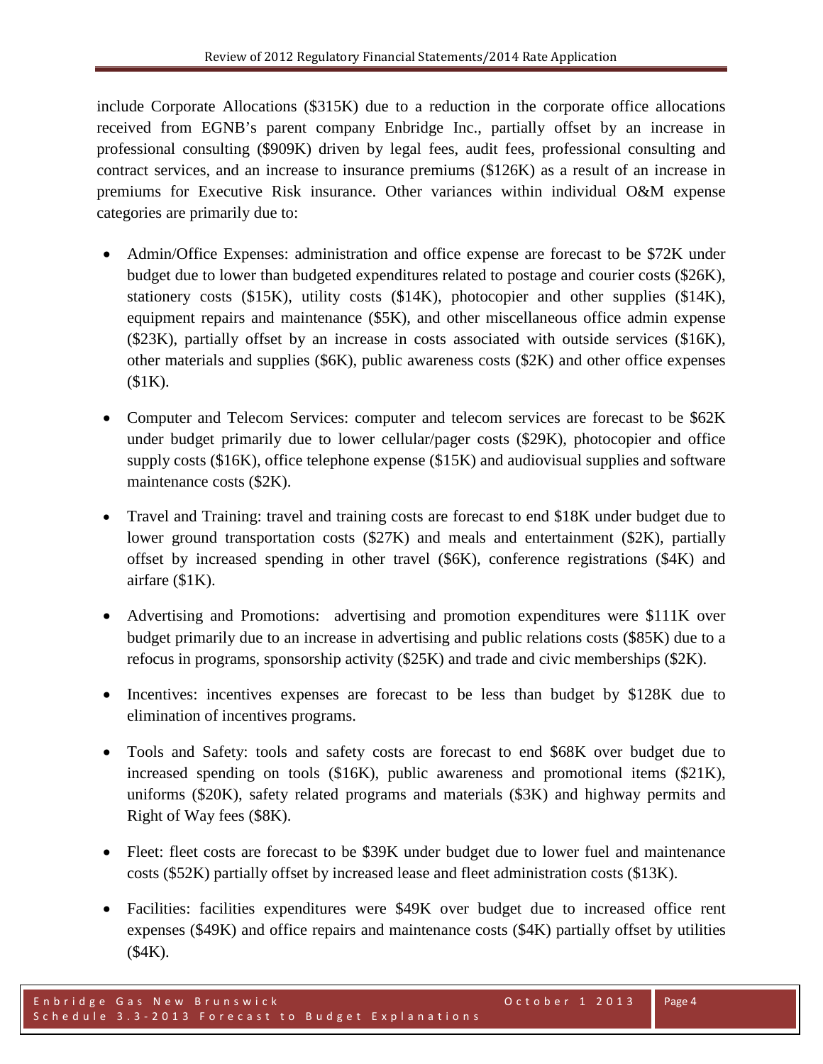include Corporate Allocations (\$315K) due to a reduction in the corporate office allocations received from EGNB's parent company Enbridge Inc., partially offset by an increase in professional consulting (\$909K) driven by legal fees, audit fees, professional consulting and contract services, and an increase to insurance premiums (\$126K) as a result of an increase in premiums for Executive Risk insurance. Other variances within individual O&M expense categories are primarily due to:

- Admin/Office Expenses: administration and office expense are forecast to be \$72K under budget due to lower than budgeted expenditures related to postage and courier costs (\$26K), stationery costs (\$15K), utility costs (\$14K), photocopier and other supplies (\$14K), equipment repairs and maintenance (\$5K), and other miscellaneous office admin expense (\$23K), partially offset by an increase in costs associated with outside services (\$16K), other materials and supplies (\$6K), public awareness costs (\$2K) and other office expenses (\$1K).
- Computer and Telecom Services: computer and telecom services are forecast to be \$62K under budget primarily due to lower cellular/pager costs (\$29K), photocopier and office supply costs (\$16K), office telephone expense (\$15K) and audiovisual supplies and software maintenance costs (\$2K).
- Travel and Training: travel and training costs are forecast to end \$18K under budget due to lower ground transportation costs (\$27K) and meals and entertainment (\$2K), partially offset by increased spending in other travel (\$6K), conference registrations (\$4K) and airfare (\$1K).
- Advertising and Promotions: advertising and promotion expenditures were \$111K over budget primarily due to an increase in advertising and public relations costs (\$85K) due to a refocus in programs, sponsorship activity (\$25K) and trade and civic memberships (\$2K).
- Incentives: incentives expenses are forecast to be less than budget by \$128K due to elimination of incentives programs.
- Tools and Safety: tools and safety costs are forecast to end \$68K over budget due to increased spending on tools (\$16K), public awareness and promotional items (\$21K), uniforms (\$20K), safety related programs and materials (\$3K) and highway permits and Right of Way fees (\$8K).
- Fleet: fleet costs are forecast to be \$39K under budget due to lower fuel and maintenance costs (\$52K) partially offset by increased lease and fleet administration costs (\$13K).
- Facilities: facilities expenditures were \$49K over budget due to increased office rent expenses (\$49K) and office repairs and maintenance costs (\$4K) partially offset by utilities (\$4K).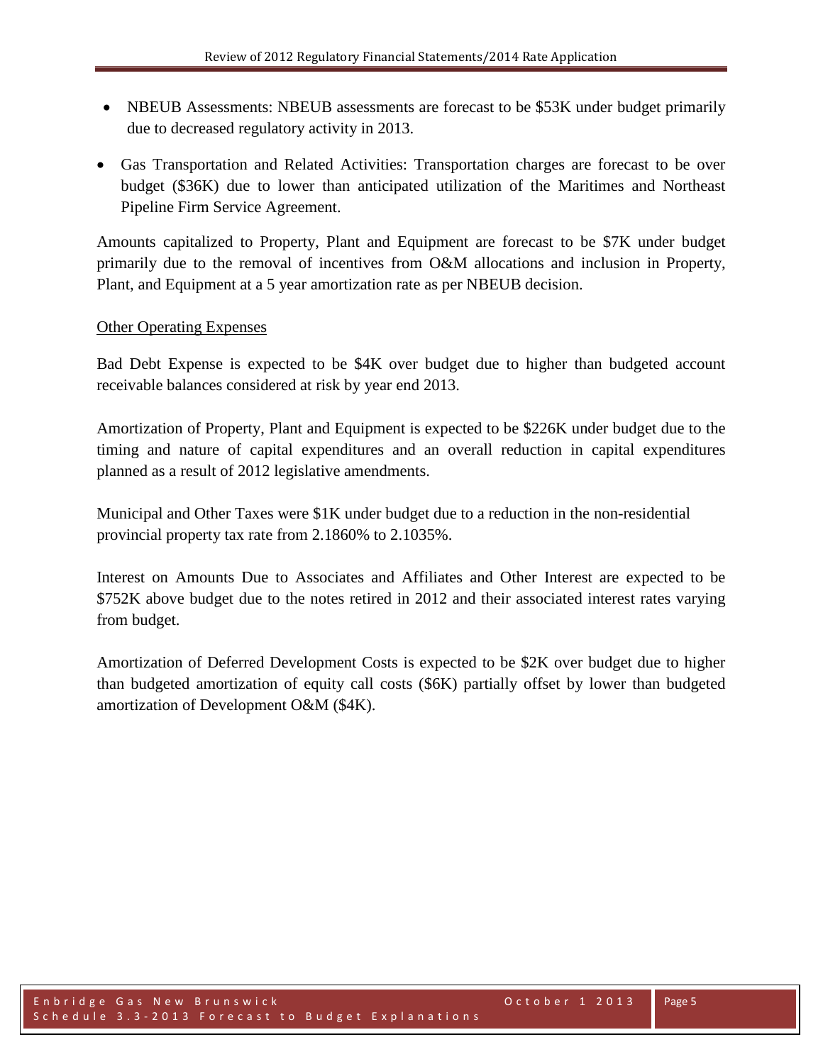- NBEUB Assessments: NBEUB assessments are forecast to be \$53K under budget primarily due to decreased regulatory activity in 2013.
- Gas Transportation and Related Activities: Transportation charges are forecast to be over budget (\$36K) due to lower than anticipated utilization of the Maritimes and Northeast Pipeline Firm Service Agreement.

Amounts capitalized to Property, Plant and Equipment are forecast to be \$7K under budget primarily due to the removal of incentives from O&M allocations and inclusion in Property, Plant, and Equipment at a 5 year amortization rate as per NBEUB decision.

### Other Operating Expenses

Bad Debt Expense is expected to be \$4K over budget due to higher than budgeted account receivable balances considered at risk by year end 2013.

Amortization of Property, Plant and Equipment is expected to be \$226K under budget due to the timing and nature of capital expenditures and an overall reduction in capital expenditures planned as a result of 2012 legislative amendments.

Municipal and Other Taxes were \$1K under budget due to a reduction in the non-residential provincial property tax rate from 2.1860% to 2.1035%.

Interest on Amounts Due to Associates and Affiliates and Other Interest are expected to be \$752K above budget due to the notes retired in 2012 and their associated interest rates varying from budget.

Amortization of Deferred Development Costs is expected to be \$2K over budget due to higher than budgeted amortization of equity call costs (\$6K) partially offset by lower than budgeted amortization of Development O&M (\$4K).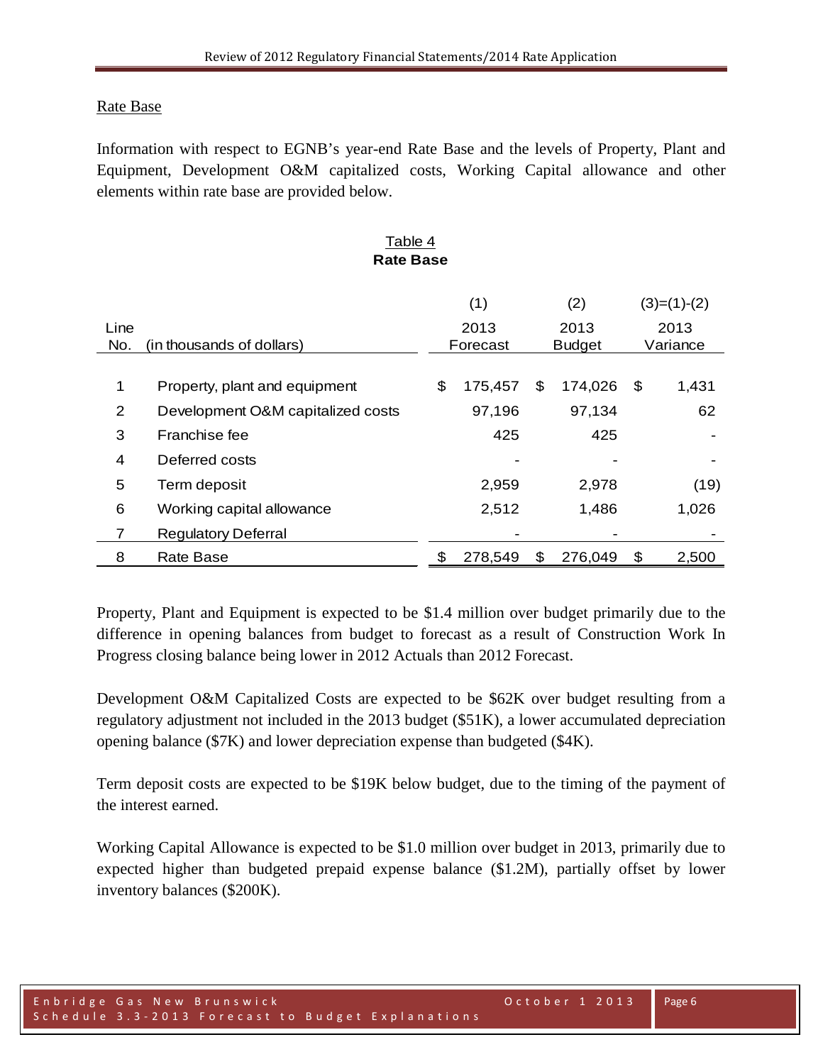### Rate Base

Information with respect to EGNB's year-end Rate Base and the levels of Property, Plant and Equipment, Development O&M capitalized costs, Working Capital allowance and other elements within rate base are provided below.

#### Table 4 **Rate Base**

|             |                                   | (1)<br>(2) |          |    | $(3)=(1)-(2)$ |          |       |
|-------------|-----------------------------------|------------|----------|----|---------------|----------|-------|
| Line        |                                   |            | 2013     |    | 2013          |          | 2013  |
| No.         | (in thousands of dollars)         |            | Forecast |    | <b>Budget</b> | Variance |       |
|             |                                   |            |          |    |               |          |       |
| $\mathbf 1$ | Property, plant and equipment     | \$         | 175,457  | \$ | 174,026       | S        | 1,431 |
| 2           | Development O&M capitalized costs |            | 97,196   |    | 97,134        |          | 62    |
| 3           | Franchise fee                     |            | 425      |    | 425           |          |       |
| 4           | Deferred costs                    |            |          |    |               |          |       |
| 5           | Term deposit                      |            | 2,959    |    | 2,978         |          | (19)  |
| 6           | Working capital allowance         |            | 2,512    |    | 1,486         |          | 1,026 |
| 7           | <b>Regulatory Deferral</b>        |            |          |    |               |          |       |
| 8           | <b>Rate Base</b>                  | \$         | 278,549  | \$ | 276,049       | \$       | 2,500 |

Property, Plant and Equipment is expected to be \$1.4 million over budget primarily due to the difference in opening balances from budget to forecast as a result of Construction Work In Progress closing balance being lower in 2012 Actuals than 2012 Forecast.

Development O&M Capitalized Costs are expected to be \$62K over budget resulting from a regulatory adjustment not included in the 2013 budget (\$51K), a lower accumulated depreciation opening balance (\$7K) and lower depreciation expense than budgeted (\$4K).

Term deposit costs are expected to be \$19K below budget, due to the timing of the payment of the interest earned.

Working Capital Allowance is expected to be \$1.0 million over budget in 2013, primarily due to expected higher than budgeted prepaid expense balance (\$1.2M), partially offset by lower inventory balances (\$200K).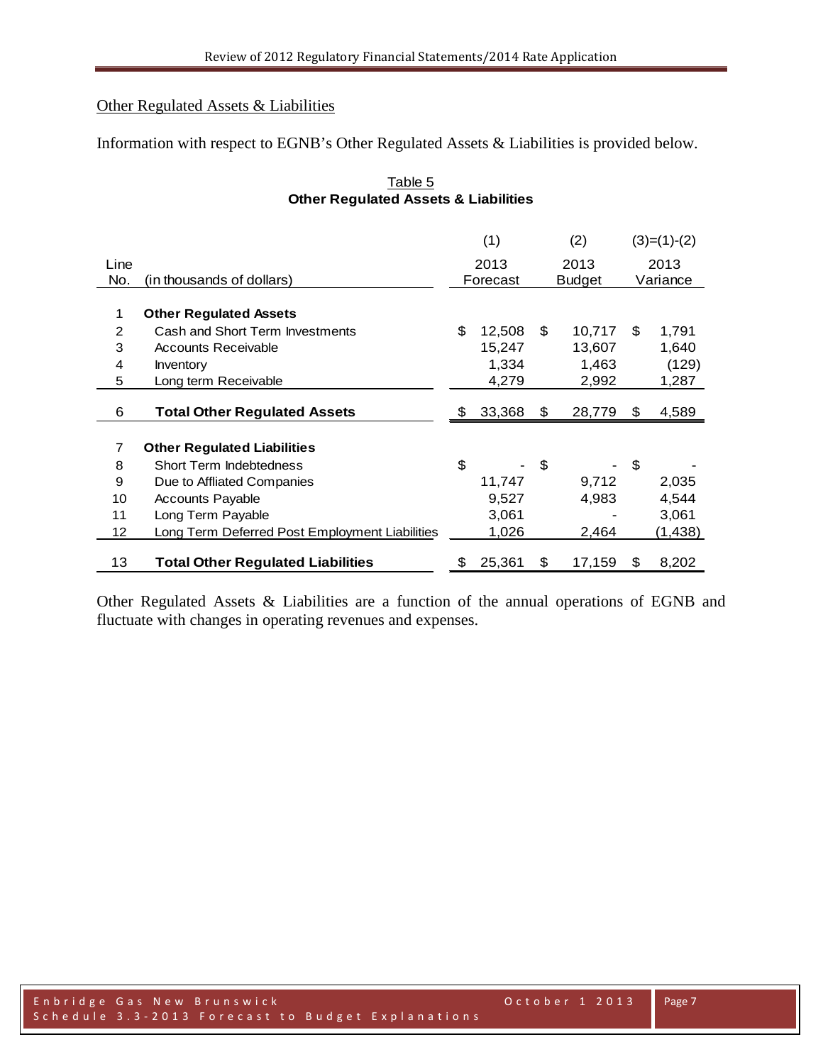# Other Regulated Assets & Liabilities

Information with respect to EGNB's Other Regulated Assets & Liabilities is provided below.

|      |                                                | (1)          |    | (2)           | $(3)=(1)-(2)$ |
|------|------------------------------------------------|--------------|----|---------------|---------------|
| Line |                                                | 2013         |    | 2013          | 2013          |
| No.  | (in thousands of dollars)                      | Forecast     |    | <b>Budget</b> | Variance      |
|      |                                                |              |    |               |               |
| 1    | <b>Other Regulated Assets</b>                  |              |    |               |               |
| 2    | Cash and Short Term Investments                | \$<br>12,508 | \$ | 10,717        | \$<br>1,791   |
| 3    | Accounts Receivable                            | 15,247       |    | 13,607        | 1,640         |
| 4    | Inventory                                      | 1,334        |    | 1,463         | (129)         |
| 5    | Long term Receivable                           | 4,279        |    | 2,992         | 1,287         |
| 6    | <b>Total Other Regulated Assets</b>            | \$<br>33,368 | \$ | 28,779        | \$<br>4,589   |
|      |                                                |              |    |               |               |
| 7    | <b>Other Regulated Liabilities</b>             |              |    |               |               |
| 8    | Short Term Indebtedness                        | \$           | \$ |               | \$            |
| 9    | Due to Affliated Companies                     | 11,747       |    | 9,712         | 2,035         |
| 10   | <b>Accounts Payable</b>                        | 9,527        |    | 4,983         | 4,544         |
| 11   | Long Term Payable                              | 3,061        |    |               | 3,061         |
| 12   | Long Term Deferred Post Employment Liabilities | 1,026        |    | 2,464         | (1, 438)      |
|      |                                                |              |    |               |               |
| 13   | <b>Total Other Regulated Liabilities</b>       | \$<br>25,361 | S  | 17,159        | \$<br>8,202   |

# Table 5 **Other Regulated Assets & Liabilities**

Other Regulated Assets & Liabilities are a function of the annual operations of EGNB and fluctuate with changes in operating revenues and expenses.